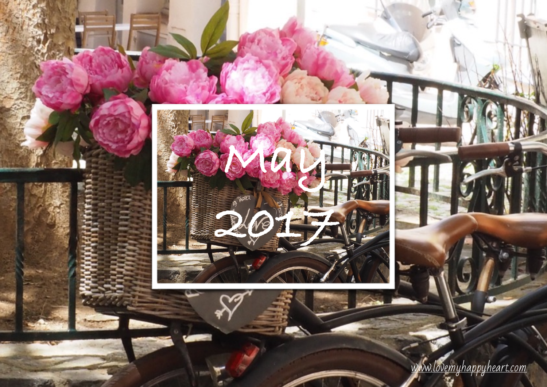

[www.lovemyhappyheart.com](http://www.lovemyhappyheart.com)